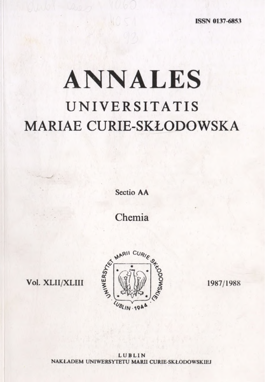# **ANNALES UNIVERSITATIS** MARIAE CURIE-SKŁODOWSKA

**Sectio AA**

Chemia



**1987/1988**

**Vol. XLII/XLIII**

**LUBLIN NAKŁADEM UNIWERSYTETU MARII CURIE SKŁODOWSKIEJ**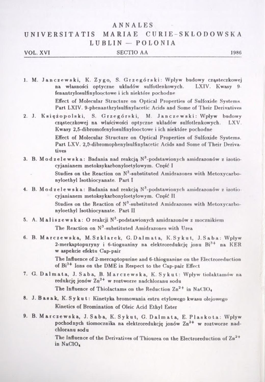#### ANNALES

### UNIVERSIT ATIS MARIAE CURIE-SKŁODOWSK <sup>A</sup> LUBLIN — POLONIA

#### **VOL. XVI SECTIO AA 1986**

**1. M. Janczewski, К. Zygo, S. Grzegórski: Wpływ budowy cząsteczkowej**  $n$ **a** własności optyczne układów sulfotlenkowych. **fenantrylosulfinyloo.ctowe i ich niektóre pochodne**

**Effect of Molecular Structure on Optical Properties of Sulfoxide Systems Part LXIV. 9-phenanthrylsulfinylacetic Acids and Some of Their Derivatives**

**2. J. <sup>K</sup> s <sup>i</sup> <sup>p</sup><sup>о</sup> <sup>1</sup> <sup>s</sup> i, S. Grzegórski, M. Janczewski: Wpływ budowy cząsteczkowej na właściwości optyczne układów sulfotlenkowych. LXV. Kwasy 2,5-dibromofenylosulfinylooctowe i ich niektóre pochodne**

> **Effect of Molecular Structure on Optical Properties of Sulfoxide Systems. Part LXV. 2,&-dibromophenylsulfinylacetic Acids and Some of Their Derivatives**

**3. B. Modzelewska: Badania nad reakcją №-podstawionych amidrazonów <sup>z</sup> izotiocyjanianem metoksykarbonyloetylowym. Część <sup>I</sup> Studies on the Reaction on N3-substituted Amidrazones with Metoxycarbo-**

**nyloethyl Isothiocyanate. Part <sup>I</sup>**

**4. В. Modzelewska: Badania nad reakcją N3-podstawionyc.h amidrazonów <sup>z</sup> izotio cyjanianem metoksykarbonyloetylowym. Część <sup>11</sup> Studies on the Reaction of №-substituted Amidrazones with Metoxycarbonyloethyl Isothiocyanate. Part II**

**5. A. Maliszewska: <sup>O</sup> reakcji №-podstawionych amidrazonów <sup>z</sup> mocznikiem The Reaction on N3-substituted Amidrazones with Urea**

**6. В. Marez e w s a, M.Szklarek, G.Dalmata, K. <sup>S</sup> <sup>y</sup> <sup>u</sup> t, J.Saba: Wpływ 2-merkaptopuryny i 6-tioguaniny na elektroredukcję jonu Bi3+ na KER w aspekcie efektu Cap-pair**

> **The Influence of 2-mercaptopurine and 6-thioguanine on the Electroreduction of Bi3+ Ions on the DME in Respect to the Cap-pair Effect**

**7. G. Dal mat a, J.Saba, B. Marczewska, К. Sykut: Wpływ tiolaktamów na redukcję jonów Zn2+ w roztworze nadchloranu sodu The Influence of Thiolactams on the Reduction Zn<sup>2</sup> + in NaClO«**

**8. J. B as ak, K. S ku t : Kinetyka bromowania estru etylowego kwasu olejowego Kinetics of Bromination of Oleic Acid Ethyl Ester**

**9. B. Marczewska, J.Saba, K. Sykut, G.Dalmata, E. Plaskota: Wplyw pochodnych tiomocznika na elektroredukcję jonów Zn2+ w roztworze nadchloranu sodu**

> **The Influence of the Derivatives of Thiourea on the Electroreduction of Zn<sup>2</sup> <sup>+</sup> in NaClO«**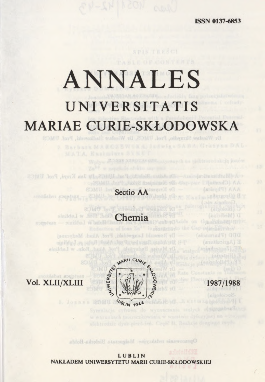**ISSN 0137-6853**

## **ANNALES** UNIVERSITATIS MARIAE CURIE-SKŁODOWSKA Dr Wiesław Skrzydło, Prol. UMCS, Dr

## **Sectio AA**

Chemia W Loblinie - sincere

Dy Jan Krayš, Prof. UhtCS

sastabor graphas

Romuald Langwidsh, Prof. Alash. Medycznej sinildy J.vs jafoll that Adam Rotai at Lublinie Rohn. w Lublinie



*EE (Zegtechnick)* 

The (Central and an

Opracowanie redakcyjne: Malgorzata Bielecka-Rolda

**LUBLIN NAKŁADEM UNIWERSYTETU MARII CURIE-SKŁODOWSK1EJ**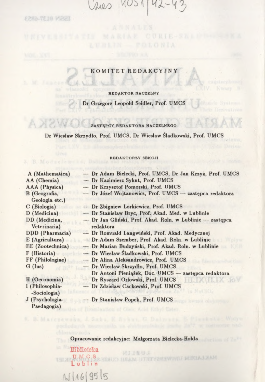Aves NOSV  $142 - 42$ 

ISSN 0137-6853

3. B. Modesleavins, Da

#### **KOMITET REDAKCYJNY**

**REDAKTOR NACZELNY**

**Dr Grzegorz Leopold Scidler, Prof. UMCS**

**ZASTĘPCY REDAKTORA NACZELNEGO**

**Dr Wiesław Skrzydło, Prof. UMCS, Dr Wiesław Śladkowski, Prof. UMCS**

#### **REDAKTORZY SEKCJI**

| A (Mathematica)                                                                                        | - Dr Adam Bielecki, Prof. UMCS, Dr Jan Krzyż, Prof. UMCS                                                                                                                                        |
|--------------------------------------------------------------------------------------------------------|-------------------------------------------------------------------------------------------------------------------------------------------------------------------------------------------------|
| AA (Chemia)                                                                                            | - Dr Kazimierz Sykut, Prof. UMCS                                                                                                                                                                |
| AAA (Physica)                                                                                          | - Dr Krzysztof Pomorski, Prof. UMCS                                                                                                                                                             |
| B (Geografia,<br>Geologia etc.)                                                                        | - Dr Józef Wojtanowicz, Prof. UMCS - zastępca redaktora                                                                                                                                         |
| $C$ (Biologia)                                                                                         | - Dr Zbigniew Lorkiewicz, Prof. UMCS                                                                                                                                                            |
| D (Medicina)                                                                                           | - Dr Stanislaw Bryc, Prof. Akad. Med. w Lublinie                                                                                                                                                |
| DD (Medicina,                                                                                          | - Dr Jan Gliński, Prof. Akad. Roln. w Lublinie - zastępca<br>redaktora                                                                                                                          |
|                                                                                                        |                                                                                                                                                                                                 |
|                                                                                                        |                                                                                                                                                                                                 |
| EE (Zootechnica)                                                                                       | - Dr Marian Budzyński, Prof. Akad. Roln. w Lublinie                                                                                                                                             |
| F (Historia)                                                                                           |                                                                                                                                                                                                 |
|                                                                                                        | - Dr Alina Aleksandrowicz, Prof. UMCS                                                                                                                                                           |
| $G$ (Ius)                                                                                              | -- Dr Wieslaw Skrzydło, Prof. UMCS                                                                                                                                                              |
|                                                                                                        |                                                                                                                                                                                                 |
|                                                                                                        | --- Dr Ryszard Orlowski, Prof. UMCS                                                                                                                                                             |
| I (Philosophia-<br>-Sociologia)                                                                        | --- Dr Zdzisław Cackowski, Prof. UMCS                                                                                                                                                           |
| J (Psychologia-                                                                                        | Dr Stanisław Popek, Prof. UMCS                                                                                                                                                                  |
| Veterinaria)<br>DDD (Pharmacia)<br>E (Agricultura)<br>FF (Philologiae)<br>H (Oeconomia)<br>Paedagogia) | — Dr Romuald Langwiński, Prof. Akad. Medycznej<br>- Dr Adam Szember, Prof. Akad. Roln. w Lublinie<br>- Dr Wiesław Śladkowski, Prof. UMCS<br>Dr Antoni Pieniążek, Doc. UMCS - zastępca redaktora |

#### **Opracowanie redakcyjne: Małgorzata Bielecka-Hołda**

9. B. Marchewake, J. Saba, F. Sokus, G. Dalmark, P. Plaskvik: Wplyn

Biblioteka **U S , ЛЛ** Lublin

N11619515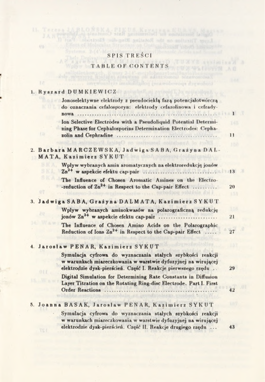#### **S P IS T R E <sup>I</sup>**

Digital Summarian in the Review of Path of County of ALC Antique Range in A L A March 2010 and the County of Place in the Block of Alcohome in the County on the County of Stephen Ward in the County on the Place in the Step

Ob.

#### **T ABLE OF C O <sup>N</sup> TE <sup>N</sup> TS**

| 1. Ryszard DUMKIEWICZ                                                                                                                                                                        |              |
|----------------------------------------------------------------------------------------------------------------------------------------------------------------------------------------------|--------------|
| Jonoselektywne elektrody z pseudociekłą fazą potencjałotwórczą<br>do oznaczania cefalosporyn: elektrody cefazolinowa i cefrady-                                                              |              |
| nowa<br>.<br>1.1.1.1.1                                                                                                                                                                       | $\mathbf{1}$ |
| Ion Selective Electrodes with a Pseudoliquid Potential Determi-<br>ning Phase for Cephalosporins Determination Electrodes: Cepha-                                                            |              |
| m<br>zolin and Cephradine<br>n practurmol innitations &                                                                                                                                      | 11           |
| 2. Barbara MARCZEWSKA, Jadwiga SABA, Grazyna DAL-<br>MATA, Kazimierz SYKUT                                                                                                                   |              |
| Wpływ wybranych amin aromatycznych na elektroredukcję jonów                                                                                                                                  | 13           |
| The Influence of Chosen Aromatic Amines on the Electro-<br>-reduction of $Zn^{2+}$ in Respect to the Cap-pair Effect                                                                         | 20           |
| 3. Jadwiga SABA, Grażyna DALMATA, Kazimierz SYKUT                                                                                                                                            |              |
| Wpływ wybranych aminokwasów na polarograficzną redukcję<br>jonów Zn <sup>2+</sup> w aspekcie efektu cap-pair                                                                                 | 21           |
| The Influence of Chosen Amino Acids on the Polarographic<br>Reduction of Ions Zn <sup>2+</sup> in Respect to the Cap-pair Effect                                                             | 27           |
| 4. Jarosław PENAR, Kazimierz SYKUT                                                                                                                                                           |              |
| Symulacja cyfrowa do wyznaczania stałych szybkości reakcji<br>w warunkach miareczkowania w warstwie dyfuzyjnej na wirującej<br>elektrodzie dysk-pierścień. Część I. Reakcje pierwszego rzędu | 29           |
| Digital Simulation for Determining Rate Constants in Diffusion<br>Layer Titration on the Rotating Ring-disc Electrode. Part I. First                                                         |              |
| Order Reactions                                                                                                                                                                              | 42           |
| 5. Joanna BASAK, Jaroslaw PENAR, Kazimierz SYKUT                                                                                                                                             |              |
| Symulacja cyfrowa do wyznaczania stałych szybkości reakcji<br>w warunkach miareczkowania w warstwie dyfuzyjnej na wirującej                                                                  |              |
| elektrodzie dysk-pierścień. Część II. Reakcje drugiego rzędu                                                                                                                                 | 43           |
|                                                                                                                                                                                              |              |

×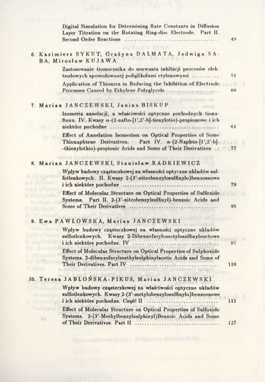| Digital Simulation for Determining Rate Constants in Diffusion<br>Layer Titration on the Rotating Ring-disc Electrode. Part II.<br><b>Second Order Reactions</b>                                  | 49       |
|---------------------------------------------------------------------------------------------------------------------------------------------------------------------------------------------------|----------|
| <b>HT 2192</b><br>6. Kazimierz SYKUT, Grażyna DALMATA, Jadwiga SA-<br>NOD TO<br><b>BA, Miroslaw KUJAWA</b>                                                                                        |          |
| Zastosowanie tiomocznika do usuwania inhibicji procesów elek-<br>trodowych spowodowanej poliglikolami etylenowymi                                                                                 | 51       |
| Application of Thiourea in Reducing the Inhibition of Electrode<br>Processes Caused by Ethylene Polyglycols                                                                                       | vН<br>60 |
| 7. Marian JANCZEWSKI, Janina BISKUP                                                                                                                                                               |          |
| Izomeria annelacji, a właściwości optyczne pochodnych tiona-<br>ftenu. IV. Kwasy $\alpha$ -(2-nafto-[1',2'-b]-tienylotio)-propionowe i ich<br>niektóre pochodne<br>.                              | 61       |
| Effect of Annelation Isomerism on Optical Properties of Some<br>Thionaphtene Derivatives. Part IV. $\alpha$ -(2-Naphto-[1',2'-b]-<br>-thienylothio)-propionic Acids and Some of Their Derivatives |          |
|                                                                                                                                                                                                   | 77       |
| 8. Marian JANCZEWSKI, Stanisław RADKIEWICZ                                                                                                                                                        |          |
| Wpływ budowy cząsteczkowej na własności optyczne układów sul-<br>fotlenkowych. II. Kwasy 2-(3'-nitrobenzylosulfinylo)benzoesowe<br>i ich niektóre pochodne                                        | 79       |
| Effect of Molecular Structure on Optical Properties of Sulfoxide<br>Systems. Part II. 2-(3'-nitrobenzylsulfinyl)-benzoic Acids and<br>Some of Their Derivatives                                   | 95       |
| 9. Ewa PAWLOWSKA, Marian JANCZEWSKI                                                                                                                                                               |          |
| Wpływ budowy cząsteczkowej na własności optyczne układów<br>sulfotlenkowych. Kwasy 2-Dibenzofurylometylosulfinylooctowe                                                                           | 97       |
| i ich niektóre pochodne. IV<br>Effect of Molecular Structure on Optical Properties of Sulphoxide<br>Systems. 2-dibenzofurylmethylsulphinylacetic Acids and Some of                                |          |
| Their Derivatives. Part IV                                                                                                                                                                        | 110      |
| 10. Teresa JABLONSKA-PIKUS, Marian JANCZEWSKI                                                                                                                                                     |          |
| Wpływ budowy cząsteczkowej na właściwości optyczne układów<br>sulfotlenkowych. Kwasy 2-(3'-metylobenzylosulfinylo)benzoesowe<br>i ich niektóre pochodne. Część II                                 | 111      |
| Effect of Molecular Structure on Optical Properties of Sulfoxide<br>2-(3'-Methylbenzylsulphinyl) Benzoic Acids and Some<br>Systems.<br>ΣB                                                         |          |
| of Their Derivatives. Part II                                                                                                                                                                     | 127      |

redakcyjner Malgarzata Bielecka-Bolda

ł

š,

 $\bar{b}$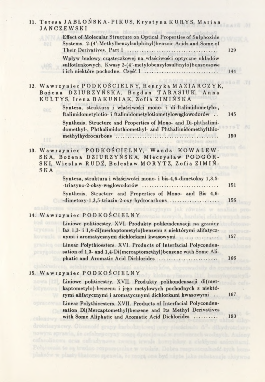| 11. Teresa JABLONSKA-PIKUS, Krystyna KURYS, Marian<br><b>JANCZEWSKI</b>                                                                                                                          |     |
|--------------------------------------------------------------------------------------------------------------------------------------------------------------------------------------------------|-----|
| Effect of Molecular Structure on Optical Properties of Sulphoxide<br>Systems. 2-(4'-Methylbenzylsulphinyl)benzoic Acids and Some of<br>Their Derivatives. Part I                                 | 129 |
| Wpływ budowy cząsteczkowej na właściwości optyczne układów<br>sulfotlenkowych. Kwasy 2-(4'-metylobenzylosulfinylo)benzoesowe<br>i ich niektóre pochodne. Część I                                 | 144 |
| 12. Wawrzyniec PODKOŚCIELNY, Henryka MAZIARCZYK,<br>Bożena DZIURZYŃSKA, Bogdan TARASIUK, Anna<br>KULTYS, Irena BAKUNIAK, Zofia ZIMIŃSKA                                                          |     |
| Synteza, struktura i właściwości mono- i di-ftalimidometylo-,<br>ftalimidometylotio- i ftalimidometylotiometyloweglowodorów                                                                      | 145 |
| Synthesis, Structure and Properties of Mono- and Di-phthalimi-<br>domethyl-, Phthalimidothiomethyl- and Phthalimidomethylthio-                                                                   |     |
| НΕ                                                                                                                                                                                               | 150 |
| 13. Wawrzyniec PODKOŚCIELNY, Wanda KOWALEW-<br>SKA, Bożena DZIURZYŃSKA, Mieczysław PODGÓR-<br>SKI, Wiesław RUDŻ, Bolesław MORYTZ, Zofia ZIMIŃ-<br><b>SKA</b>                                     |     |
| Synteza, struktura i właściwości mono- i bis-4,6-dimetoksy 1,3,5-<br>-triazyno-2-oksy-węglowodorów<br>                                                                                           | 151 |
| Synthesis, Structure and Properties of Mono- and Bis 4,6-<br>-dimetoxy-1,3,5-triazin-2-oxy-hydrocarbons                                                                                          | 156 |
| <b>JAR POWERE</b><br>14. Wawrzyniec PODKOŚCIELNY                                                                                                                                                 |     |
| Liniowe politioestry. XVI. Produkty polikondensacji na granicy<br>faz 1,3- i 1,4-di(merkaptometylo)benzenu z niektórymi alifatycz-                                                               |     |
| nymi i aromatycznymi dichlorkami kwasowymi<br>Linear Polythioesters. XVI. Products of Interfacial Polyconden-<br>sation of 1,3- and 1,4-Di(mercaptomethyl) benzene with Some Ali-                | 157 |
| phatic and Aromatic Acid Dichlorides                                                                                                                                                             | 166 |
| 15. Wawrzyniec PODKOŚCIELNY                                                                                                                                                                      |     |
| Liniowe politioestry. XVII. Produkty polikondensacji di(mer-<br>kaptometylo)-benzenu i jego metylowych pochodnych z niektó-<br>rymi alifatycznymi i aromatycznymi dichlorkami kwasowymi          | 167 |
| Linear Polythioesters. XVII. Products of Interfacial Polyconden-<br>sation Di(Mercaptomethyl) benzene and Its Methyl Derivatives<br>with Some Aliphatic and Aromatic Acid Dichlorides<br>celosov | 193 |
| droteinsynowy. Obsenofe grupy is<br>nowyna sprawia, so cefalors<br>meins abrant living of ac workering an<br>colasquinows ocas certadynows tweeze trwals boundabor a cistioni a                  |     |

8I

Połączenia te ną trudno rospumenulne w wodzie, Dobra rospumenalność tych hem-plaksów w plastylikatorze sprawia, że mogą ona być użyte jako substancje skiywna